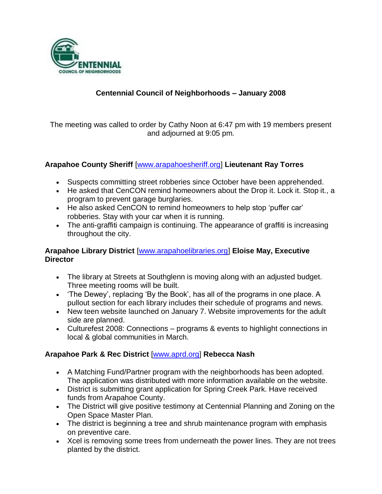

# **Centennial Council of Neighborhoods – January 2008**

The meeting was called to order by Cathy Noon at 6:47 pm with 19 members present and adjourned at 9:05 pm.

#### **Arapahoe County Sheriff** [www.arapahoesheriff.org] **Lieutenant Ray Torres**

- Suspects committing street robberies since October have been apprehended.
- He asked that CenCON remind homeowners about the Drop it. Lock it. Stop it., a program to prevent garage burglaries.
- He also asked CenCON to remind homeowners to help stop 'puffer car' robberies. Stay with your car when it is running.
- The anti-graffiti campaign is continuing. The appearance of graffiti is increasing throughout the city.

#### **Arapahoe Library District** [www.arapahoelibraries.org] **Eloise May, Executive Director**

- The library at Streets at Southglenn is moving along with an adjusted budget. Three meeting rooms will be built.
- 'The Dewey', replacing 'By the Book', has all of the programs in one place. A pullout section for each library includes their schedule of programs and news.
- New teen website launched on January 7. Website improvements for the adult side are planned.
- Culturefest 2008: Connections programs & events to highlight connections in local & global communities in March.

## **Arapahoe Park & Rec District** [www.aprd.org] **Rebecca Nash**

- A Matching Fund/Partner program with the neighborhoods has been adopted. The application was distributed with more information available on the website.
- District is submitting grant application for Spring Creek Park. Have received funds from Arapahoe County.
- The District will give positive testimony at Centennial Planning and Zoning on the Open Space Master Plan.
- The district is beginning a tree and shrub maintenance program with emphasis on preventive care.
- Xcel is removing some trees from underneath the power lines. They are not trees planted by the district.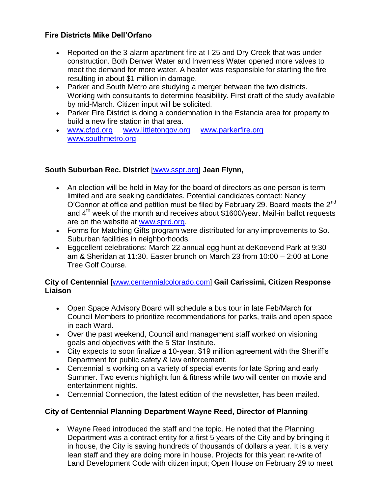# **Fire Districts Mike Dell'Orfano**

- Reported on the 3-alarm apartment fire at I-25 and Dry Creek that was under construction. Both Denver Water and Inverness Water opened more valves to meet the demand for more water. A heater was responsible for starting the fire resulting in about \$1 million in damage.
- Parker and South Metro are studying a merger between the two districts. Working with consultants to determine feasibility. First draft of the study available by mid-March. Citizen input will be solicited.
- Parker Fire District is doing a condemnation in the Estancia area for property to build a new fire station in that area.
- [www.cfpd.org](http://www.cfpd.org/) [www.littletongov.org](http://www.littletongov.org/) [www.parkerfire.org](http://www.parkerfire.org/)  [www.southmetro.org](http://www.southmetro.org/)

# **South Suburban Rec. District** [www.sspr.org] **Jean Flynn,**

- An election will be held in May for the board of directors as one person is term limited and are seeking candidates. Potential candidates contact: Nancy O'Connor at office and petition must be filed by February 29. Board meets the  $2^{nd}$ and  $4<sup>th</sup>$  week of the month and receives about \$1600/year. Mail-in ballot requests are on the website at [www.sprd.org.](http://www.sprd.org/)
- Forms for Matching Gifts program were distributed for any improvements to So. Suburban facilities in neighborhoods.
- Eggcellent celebrations: March 22 annual egg hunt at deKoevend Park at 9:30 am & Sheridan at 11:30. Easter brunch on March 23 from 10:00 – 2:00 at Lone Tree Golf Course.

## **City of Centennial** [www.centennialcolorado.com] **Gail Carissimi, Citizen Response Liaison**

- Open Space Advisory Board will schedule a bus tour in late Feb/March for Council Members to prioritize recommendations for parks, trails and open space in each Ward.
- Over the past weekend, Council and management staff worked on visioning goals and objectives with the 5 Star Institute.
- City expects to soon finalize a 10-year, \$19 million agreement with the Sheriff's Department for public safety & law enforcement.
- Centennial is working on a variety of special events for late Spring and early Summer. Two events highlight fun & fitness while two will center on movie and entertainment nights.
- Centennial Connection, the latest edition of the newsletter, has been mailed.

# **City of Centennial Planning Department Wayne Reed, Director of Planning**

 Wayne Reed introduced the staff and the topic. He noted that the Planning Department was a contract entity for a first 5 years of the City and by bringing it in house, the City is saving hundreds of thousands of dollars a year. It is a very lean staff and they are doing more in house. Projects for this year: re-write of Land Development Code with citizen input; Open House on February 29 to meet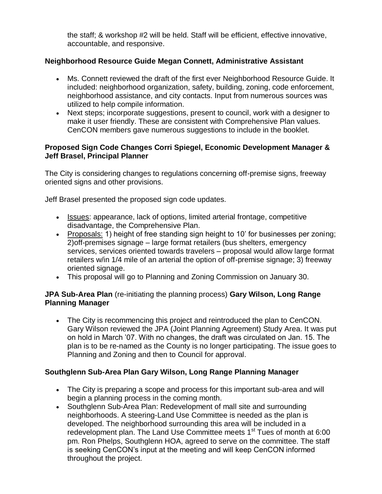the staff; & workshop #2 will be held. Staff will be efficient, effective innovative, accountable, and responsive.

# **Neighborhood Resource Guide Megan Connett, Administrative Assistant**

- Ms. Connett reviewed the draft of the first ever Neighborhood Resource Guide. It included: neighborhood organization, safety, building, zoning, code enforcement, neighborhood assistance, and city contacts. Input from numerous sources was utilized to help compile information.
- Next steps; incorporate suggestions, present to council, work with a designer to make it user friendly. These are consistent with Comprehensive Plan values. CenCON members gave numerous suggestions to include in the booklet.

#### **Proposed Sign Code Changes Corri Spiegel, Economic Development Manager & Jeff Brasel, Principal Planner**

The City is considering changes to regulations concerning off-premise signs, freeway oriented signs and other provisions.

Jeff Brasel presented the proposed sign code updates.

- Issues: appearance, lack of options, limited arterial frontage, competitive disadvantage, the Comprehensive Plan.
- Proposals: 1) height of free standing sign height to 10' for businesses per zoning; 2)off-premises signage – large format retailers (bus shelters, emergency services, services oriented towards travelers – proposal would allow large format retailers w/in 1/4 mile of an arterial the option of off-premise signage; 3) freeway oriented signage.
- This proposal will go to Planning and Zoning Commission on January 30.

## **JPA Sub-Area Plan** (re-initiating the planning process) **Gary Wilson, Long Range Planning Manager**

 The City is recommencing this project and reintroduced the plan to CenCON. Gary Wilson reviewed the JPA (Joint Planning Agreement) Study Area. It was put on hold in March '07. With no changes, the draft was circulated on Jan. 15. The plan is to be re-named as the County is no longer participating. The issue goes to Planning and Zoning and then to Council for approval.

## **Southglenn Sub-Area Plan Gary Wilson, Long Range Planning Manager**

- The City is preparing a scope and process for this important sub-area and will begin a planning process in the coming month.
- Southglenn Sub-Area Plan: Redevelopment of mall site and surrounding neighborhoods. A steering-Land Use Committee is needed as the plan is developed. The neighborhood surrounding this area will be included in a redevelopment plan. The Land Use Committee meets  $1<sup>st</sup>$  Tues of month at 6:00 pm. Ron Phelps, Southglenn HOA, agreed to serve on the committee. The staff is seeking CenCON's input at the meeting and will keep CenCON informed throughout the project.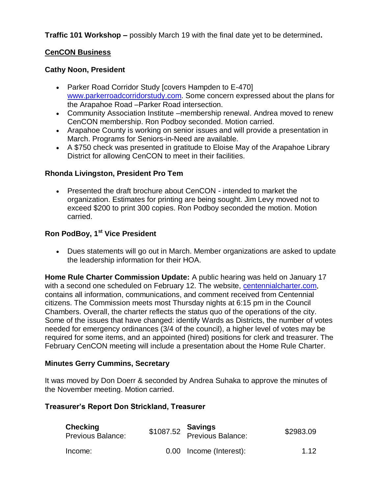**Traffic 101 Workshop –** possibly March 19 with the final date yet to be determined**.**

#### **CenCON Business**

#### **Cathy Noon, President**

- Parker Road Corridor Study [covers Hampden to E-470] [www.parkerroadcorridorstudy.com.](http://www.parkerroadcorridorstudy.com/) Some concern expressed about the plans for the Arapahoe Road –Parker Road intersection.
- Community Association Institute –membership renewal. Andrea moved to renew CenCON membership. Ron Podboy seconded. Motion carried.
- Arapahoe County is working on senior issues and will provide a presentation in March. Programs for Seniors-in-Need are available.
- A \$750 check was presented in gratitude to Eloise May of the Arapahoe Library District for allowing CenCON to meet in their facilities.

#### **Rhonda Livingston, President Pro Tem**

 Presented the draft brochure about CenCON - intended to market the organization. Estimates for printing are being sought. Jim Levy moved not to exceed \$200 to print 300 copies. Ron Podboy seconded the motion. Motion carried.

## **Ron PodBoy, 1st Vice President**

 Dues statements will go out in March. Member organizations are asked to update the leadership information for their HOA.

**Home Rule Charter Commission Update:** A public hearing was held on January 17 with a second one scheduled on February 12. The website, centennialcharter.com, contains all information, communications, and comment received from Centennial citizens. The Commission meets most Thursday nights at 6:15 pm in the Council Chambers. Overall, the charter reflects the status quo of the operations of the city. Some of the issues that have changed: identify Wards as Districts, the number of votes needed for emergency ordinances (3/4 of the council), a higher level of votes may be required for some items, and an appointed (hired) positions for clerk and treasurer. The February CenCON meeting will include a presentation about the Home Rule Charter.

#### **Minutes Gerry Cummins, Secretary**

It was moved by Don Doerr & seconded by Andrea Suhaka to approve the minutes of the November meeting. Motion carried.

#### **Treasurer's Report Don Strickland, Treasurer**

| <b>Checking</b><br><b>Previous Balance:</b> | \$1087.52 <b>Savings</b><br>Previous Balance: | \$2983.09 |
|---------------------------------------------|-----------------------------------------------|-----------|
| Income:                                     | 0.00 Income (Interest):                       | 1.12      |